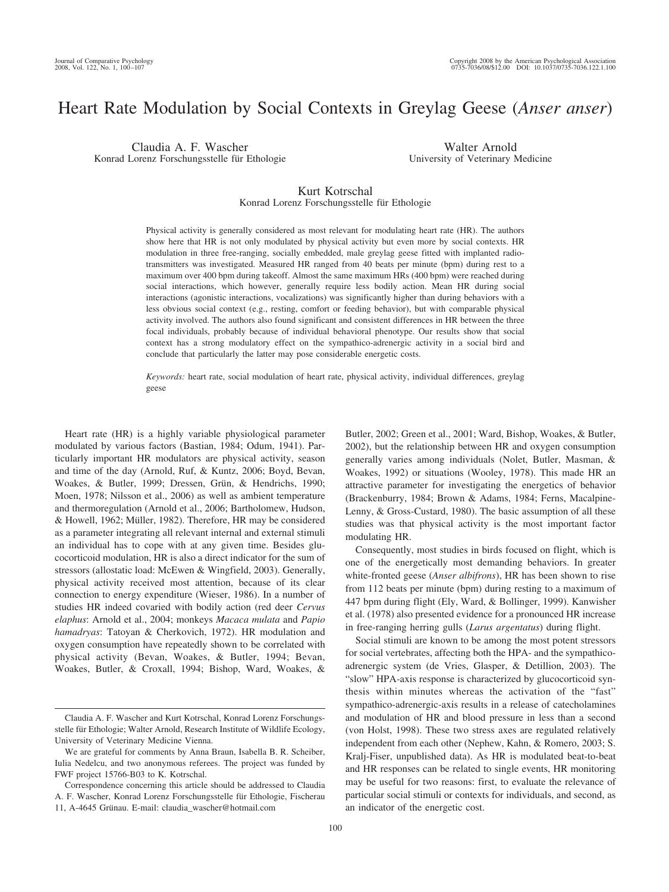# Heart Rate Modulation by Social Contexts in Greylag Geese (*Anser anser*)

Claudia A. F. Wascher Konrad Lorenz Forschungsstelle für Ethologie

Walter Arnold University of Veterinary Medicine

## Kurt Kotrschal

## Konrad Lorenz Forschungsstelle für Ethologie

Physical activity is generally considered as most relevant for modulating heart rate (HR). The authors show here that HR is not only modulated by physical activity but even more by social contexts. HR modulation in three free-ranging, socially embedded, male greylag geese fitted with implanted radiotransmitters was investigated. Measured HR ranged from 40 beats per minute (bpm) during rest to a maximum over 400 bpm during takeoff. Almost the same maximum HRs (400 bpm) were reached during social interactions, which however, generally require less bodily action. Mean HR during social interactions (agonistic interactions, vocalizations) was significantly higher than during behaviors with a less obvious social context (e.g., resting, comfort or feeding behavior), but with comparable physical activity involved. The authors also found significant and consistent differences in HR between the three focal individuals, probably because of individual behavioral phenotype. Our results show that social context has a strong modulatory effect on the sympathico-adrenergic activity in a social bird and conclude that particularly the latter may pose considerable energetic costs.

*Keywords:* heart rate, social modulation of heart rate, physical activity, individual differences, greylag geese

Heart rate (HR) is a highly variable physiological parameter modulated by various factors (Bastian, 1984; Odum, 1941). Particularly important HR modulators are physical activity, season and time of the day (Arnold, Ruf, & Kuntz, 2006; Boyd, Bevan, Woakes, & Butler, 1999; Dressen, Grün, & Hendrichs, 1990; Moen, 1978; Nilsson et al., 2006) as well as ambient temperature and thermoregulation (Arnold et al., 2006; Bartholomew, Hudson, & Howell, 1962; Müller, 1982). Therefore, HR may be considered as a parameter integrating all relevant internal and external stimuli an individual has to cope with at any given time. Besides glucocorticoid modulation, HR is also a direct indicator for the sum of stressors (allostatic load: McEwen & Wingfield, 2003). Generally, physical activity received most attention, because of its clear connection to energy expenditure (Wieser, 1986). In a number of studies HR indeed covaried with bodily action (red deer *Cervus elaphus*: Arnold et al., 2004; monkeys *Macaca mulata* and *Papio hamadryas*: Tatoyan & Cherkovich, 1972). HR modulation and oxygen consumption have repeatedly shown to be correlated with physical activity (Bevan, Woakes, & Butler, 1994; Bevan, Woakes, Butler, & Croxall, 1994; Bishop, Ward, Woakes, &

Butler, 2002; Green et al., 2001; Ward, Bishop, Woakes, & Butler, 2002), but the relationship between HR and oxygen consumption generally varies among individuals (Nolet, Butler, Masman, & Woakes, 1992) or situations (Wooley, 1978). This made HR an attractive parameter for investigating the energetics of behavior (Brackenburry, 1984; Brown & Adams, 1984; Ferns, Macalpine-Lenny, & Gross-Custard, 1980). The basic assumption of all these studies was that physical activity is the most important factor modulating HR.

Consequently, most studies in birds focused on flight, which is one of the energetically most demanding behaviors. In greater white-fronted geese (*Anser albifrons*), HR has been shown to rise from 112 beats per minute (bpm) during resting to a maximum of 447 bpm during flight (Ely, Ward, & Bollinger, 1999). Kanwisher et al. (1978) also presented evidence for a pronounced HR increase in free-ranging herring gulls (*Larus argentatus*) during flight.

Social stimuli are known to be among the most potent stressors for social vertebrates, affecting both the HPA- and the sympathicoadrenergic system (de Vries, Glasper, & Detillion, 2003). The "slow" HPA-axis response is characterized by glucocorticoid synthesis within minutes whereas the activation of the "fast" sympathico-adrenergic-axis results in a release of catecholamines and modulation of HR and blood pressure in less than a second (von Holst, 1998). These two stress axes are regulated relatively independent from each other (Nephew, Kahn, & Romero, 2003; S. Kralj-Fiser, unpublished data). As HR is modulated beat-to-beat and HR responses can be related to single events, HR monitoring may be useful for two reasons: first, to evaluate the relevance of particular social stimuli or contexts for individuals, and second, as an indicator of the energetic cost.

Claudia A. F. Wascher and Kurt Kotrschal, Konrad Lorenz Forschungsstelle für Ethologie; Walter Arnold, Research Institute of Wildlife Ecology, University of Veterinary Medicine Vienna.

We are grateful for comments by Anna Braun, Isabella B. R. Scheiber, Iulia Nedelcu, and two anonymous referees. The project was funded by FWF project 15766-B03 to K. Kotrschal.

Correspondence concerning this article should be addressed to Claudia A. F. Wascher, Konrad Lorenz Forschungsstelle für Ethologie, Fischerau 11, A-4645 Grünau. E-mail: claudia\_wascher@hotmail.com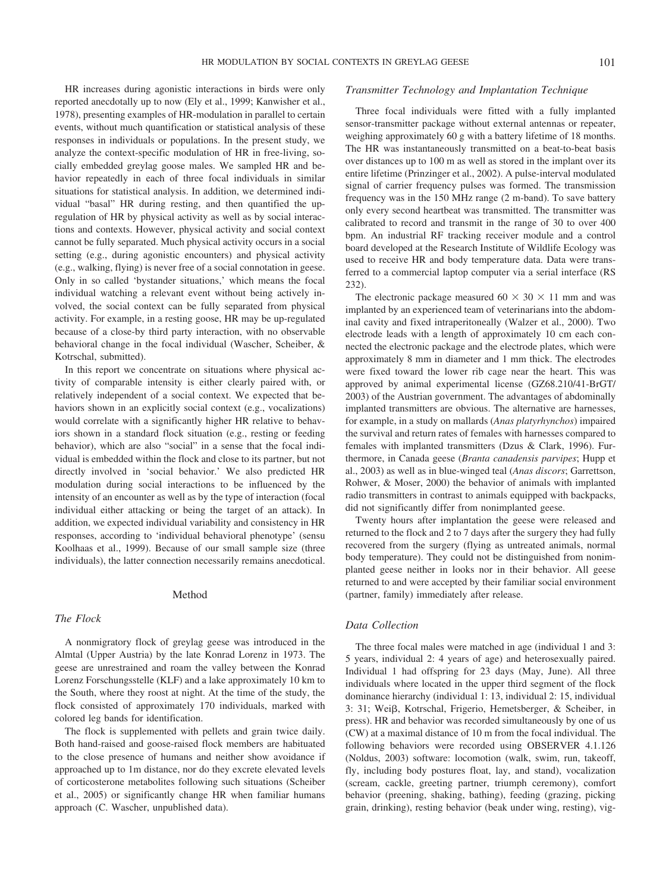HR increases during agonistic interactions in birds were only reported anecdotally up to now (Ely et al., 1999; Kanwisher et al., 1978), presenting examples of HR-modulation in parallel to certain events, without much quantification or statistical analysis of these responses in individuals or populations. In the present study, we analyze the context-specific modulation of HR in free-living, socially embedded greylag goose males. We sampled HR and behavior repeatedly in each of three focal individuals in similar situations for statistical analysis. In addition, we determined individual "basal" HR during resting, and then quantified the upregulation of HR by physical activity as well as by social interactions and contexts. However, physical activity and social context cannot be fully separated. Much physical activity occurs in a social setting (e.g., during agonistic encounters) and physical activity (e.g., walking, flying) is never free of a social connotation in geese. Only in so called 'bystander situations,' which means the focal individual watching a relevant event without being actively involved, the social context can be fully separated from physical activity. For example, in a resting goose, HR may be up-regulated because of a close-by third party interaction, with no observable behavioral change in the focal individual (Wascher, Scheiber, &

In this report we concentrate on situations where physical activity of comparable intensity is either clearly paired with, or relatively independent of a social context. We expected that behaviors shown in an explicitly social context (e.g., vocalizations) would correlate with a significantly higher HR relative to behaviors shown in a standard flock situation (e.g., resting or feeding behavior), which are also "social" in a sense that the focal individual is embedded within the flock and close to its partner, but not directly involved in 'social behavior.' We also predicted HR modulation during social interactions to be influenced by the intensity of an encounter as well as by the type of interaction (focal individual either attacking or being the target of an attack). In addition, we expected individual variability and consistency in HR responses, according to 'individual behavioral phenotype' (sensu Koolhaas et al., 1999). Because of our small sample size (three individuals), the latter connection necessarily remains anecdotical.

#### Method

## *The Flock*

Kotrschal, submitted).

A nonmigratory flock of greylag geese was introduced in the Almtal (Upper Austria) by the late Konrad Lorenz in 1973. The geese are unrestrained and roam the valley between the Konrad Lorenz Forschungsstelle (KLF) and a lake approximately 10 km to the South, where they roost at night. At the time of the study, the flock consisted of approximately 170 individuals, marked with colored leg bands for identification.

The flock is supplemented with pellets and grain twice daily. Both hand-raised and goose-raised flock members are habituated to the close presence of humans and neither show avoidance if approached up to 1m distance, nor do they excrete elevated levels of corticosterone metabolites following such situations (Scheiber et al., 2005) or significantly change HR when familiar humans approach (C. Wascher, unpublished data).

## *Transmitter Technology and Implantation Technique*

Three focal individuals were fitted with a fully implanted sensor-transmitter package without external antennas or repeater, weighing approximately 60 g with a battery lifetime of 18 months. The HR was instantaneously transmitted on a beat-to-beat basis over distances up to 100 m as well as stored in the implant over its entire lifetime (Prinzinger et al., 2002). A pulse-interval modulated signal of carrier frequency pulses was formed. The transmission frequency was in the 150 MHz range (2 m-band). To save battery only every second heartbeat was transmitted. The transmitter was calibrated to record and transmit in the range of 30 to over 400 bpm. An industrial RF tracking receiver module and a control board developed at the Research Institute of Wildlife Ecology was used to receive HR and body temperature data. Data were transferred to a commercial laptop computer via a serial interface (RS 232).

The electronic package measured  $60 \times 30 \times 11$  mm and was implanted by an experienced team of veterinarians into the abdominal cavity and fixed intraperitoneally (Walzer et al., 2000). Two electrode leads with a length of approximately 10 cm each connected the electronic package and the electrode plates, which were approximately 8 mm in diameter and 1 mm thick. The electrodes were fixed toward the lower rib cage near the heart. This was approved by animal experimental license (GZ68.210/41-BrGT/ 2003) of the Austrian government. The advantages of abdominally implanted transmitters are obvious. The alternative are harnesses, for example, in a study on mallards (*Anas platyrhynchos*) impaired the survival and return rates of females with harnesses compared to females with implanted transmitters (Dzus & Clark, 1996). Furthermore, in Canada geese (*Branta canadensis parvipes*; Hupp et al., 2003) as well as in blue-winged teal (*Anas discors*; Garrettson, Rohwer, & Moser, 2000) the behavior of animals with implanted radio transmitters in contrast to animals equipped with backpacks, did not significantly differ from nonimplanted geese.

Twenty hours after implantation the geese were released and returned to the flock and 2 to 7 days after the surgery they had fully recovered from the surgery (flying as untreated animals, normal body temperature). They could not be distinguished from nonimplanted geese neither in looks nor in their behavior. All geese returned to and were accepted by their familiar social environment (partner, family) immediately after release.

## *Data Collection*

The three focal males were matched in age (individual 1 and 3: 5 years, individual 2: 4 years of age) and heterosexually paired. Individual 1 had offspring for 23 days (May, June). All three individuals where located in the upper third segment of the flock dominance hierarchy (individual 1: 13, individual 2: 15, individual 3: 31; Weiß, Kotrschal, Frigerio, Hemetsberger, & Scheiber, in press). HR and behavior was recorded simultaneously by one of us (CW) at a maximal distance of 10 m from the focal individual. The following behaviors were recorded using OBSERVER 4.1.126 (Noldus, 2003) software: locomotion (walk, swim, run, takeoff, fly, including body postures float, lay, and stand), vocalization (scream, cackle, greeting partner, triumph ceremony), comfort behavior (preening, shaking, bathing), feeding (grazing, picking grain, drinking), resting behavior (beak under wing, resting), vig-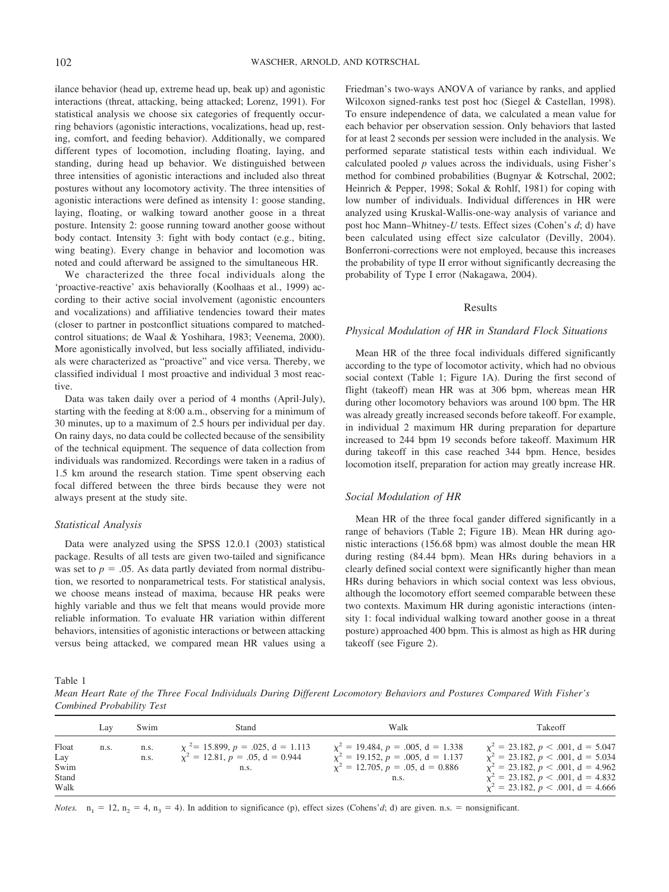ilance behavior (head up, extreme head up, beak up) and agonistic interactions (threat, attacking, being attacked; Lorenz, 1991). For statistical analysis we choose six categories of frequently occurring behaviors (agonistic interactions, vocalizations, head up, resting, comfort, and feeding behavior). Additionally, we compared different types of locomotion, including floating, laying, and standing, during head up behavior. We distinguished between three intensities of agonistic interactions and included also threat postures without any locomotory activity. The three intensities of agonistic interactions were defined as intensity 1: goose standing, laying, floating, or walking toward another goose in a threat posture. Intensity 2: goose running toward another goose without body contact. Intensity 3: fight with body contact (e.g., biting, wing beating). Every change in behavior and locomotion was noted and could afterward be assigned to the simultaneous HR.

We characterized the three focal individuals along the 'proactive-reactive' axis behaviorally (Koolhaas et al., 1999) according to their active social involvement (agonistic encounters and vocalizations) and affiliative tendencies toward their mates (closer to partner in postconflict situations compared to matchedcontrol situations; de Waal & Yoshihara, 1983; Veenema, 2000). More agonistically involved, but less socially affiliated, individuals were characterized as "proactive" and vice versa. Thereby, we classified individual 1 most proactive and individual 3 most reactive.

Data was taken daily over a period of 4 months (April-July), starting with the feeding at 8:00 a.m., observing for a minimum of 30 minutes, up to a maximum of 2.5 hours per individual per day. On rainy days, no data could be collected because of the sensibility of the technical equipment. The sequence of data collection from individuals was randomized. Recordings were taken in a radius of 1.5 km around the research station. Time spent observing each focal differed between the three birds because they were not always present at the study site.

#### *Statistical Analysis*

Data were analyzed using the SPSS 12.0.1 (2003) statistical package. Results of all tests are given two-tailed and significance was set to  $p = .05$ . As data partly deviated from normal distribution, we resorted to nonparametrical tests. For statistical analysis, we choose means instead of maxima, because HR peaks were highly variable and thus we felt that means would provide more reliable information. To evaluate HR variation within different behaviors, intensities of agonistic interactions or between attacking versus being attacked, we compared mean HR values using a Friedman's two-ways ANOVA of variance by ranks, and applied Wilcoxon signed-ranks test post hoc (Siegel & Castellan, 1998). To ensure independence of data, we calculated a mean value for each behavior per observation session. Only behaviors that lasted for at least 2 seconds per session were included in the analysis. We performed separate statistical tests within each individual. We calculated pooled *p* values across the individuals, using Fisher's method for combined probabilities (Bugnyar & Kotrschal, 2002; Heinrich & Pepper, 1998; Sokal & Rohlf, 1981) for coping with low number of individuals. Individual differences in HR were analyzed using Kruskal-Wallis-one-way analysis of variance and post hoc Mann–Whitney-*U* tests. Effect sizes (Cohen's *d*; d) have been calculated using effect size calculator (Devilly, 2004). Bonferroni-corrections were not employed, because this increases the probability of type II error without significantly decreasing the probability of Type I error (Nakagawa, 2004).

#### Results

## *Physical Modulation of HR in Standard Flock Situations*

Mean HR of the three focal individuals differed significantly according to the type of locomotor activity, which had no obvious social context (Table 1; Figure 1A). During the first second of flight (takeoff) mean HR was at 306 bpm, whereas mean HR during other locomotory behaviors was around 100 bpm. The HR was already greatly increased seconds before takeoff. For example, in individual 2 maximum HR during preparation for departure increased to 244 bpm 19 seconds before takeoff. Maximum HR during takeoff in this case reached 344 bpm. Hence, besides locomotion itself, preparation for action may greatly increase HR.

## *Social Modulation of HR*

Mean HR of the three focal gander differed significantly in a range of behaviors (Table 2; Figure 1B). Mean HR during agonistic interactions (156.68 bpm) was almost double the mean HR during resting (84.44 bpm). Mean HRs during behaviors in a clearly defined social context were significantly higher than mean HRs during behaviors in which social context was less obvious, although the locomotory effort seemed comparable between these two contexts. Maximum HR during agonistic interactions (intensity 1: focal individual walking toward another goose in a threat posture) approached 400 bpm. This is almost as high as HR during takeoff (see Figure 2).

Table 1

*Mean Heart Rate of the Three Focal Individuals During Different Locomotory Behaviors and Postures Compared With Fisher's Combined Probability Test*

|                                       | Lav  | Swim         | Stand                                                                            | Walk                                                                                                                                    | Takeoff                                                                                                                                                                                                                 |
|---------------------------------------|------|--------------|----------------------------------------------------------------------------------|-----------------------------------------------------------------------------------------------------------------------------------------|-------------------------------------------------------------------------------------------------------------------------------------------------------------------------------------------------------------------------|
| Float<br>Lay<br>Swim<br>Stand<br>Walk | n.s. | n.s.<br>n.s. | $x^2$ = 15.899, p = .025, d = 1.113<br>$x^2 = 12.81, p = .05, d = 0.944$<br>n.s. | $\chi^2 = 19.484, p = .005, d = 1.338$<br>$x^2 = 19.152$ , $p = .005$ , $d = 1.137$<br>$x^2 = 12.705$ , $p = .05$ , $d = 0.886$<br>n.s. | $\chi^2 = 23.182, p < .001, d = 5.047$<br>$x^2 = 23.182$ , $p < .001$ , $d = 5.034$<br>$x^2 = 23.182$ , $p < .001$ , $d = 4.962$<br>$\chi^2 = 23.182, p < .001, d = 4.832$<br>$x^2 = 23.182$ , $p < .001$ , $d = 4.666$ |

*Notes.*  $n_1 = 12$ ,  $n_2 = 4$ ,  $n_3 = 4$ ). In addition to significance (p), effect sizes (Cohens'*d*; d) are given. n.s. = nonsignificant.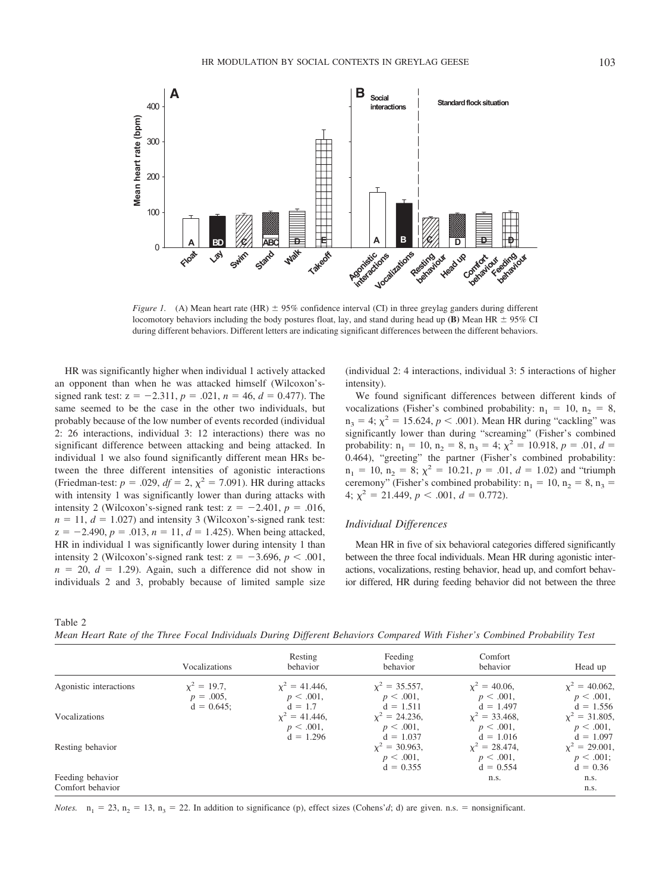

*Figure 1.* (A) Mean heart rate (HR)  $\pm$  95% confidence interval (CI) in three greylag ganders during different locomotory behaviors including the body postures float, lay, and stand during head up **(B)** Mean HR  $\pm$  95% CI during different behaviors. Different letters are indicating significant differences between the different behaviors.

HR was significantly higher when individual 1 actively attacked an opponent than when he was attacked himself (Wilcoxon'ssigned rank test:  $z = -2.311$ ,  $p = .021$ ,  $n = 46$ ,  $d = 0.477$ ). The same seemed to be the case in the other two individuals, but probably because of the low number of events recorded (individual 2: 26 interactions, individual 3: 12 interactions) there was no significant difference between attacking and being attacked. In individual 1 we also found significantly different mean HRs between the three different intensities of agonistic interactions (Friedman-test:  $p = .029$ ,  $df = 2$ ,  $\chi^2 = 7.091$ ). HR during attacks with intensity 1 was significantly lower than during attacks with intensity 2 (Wilcoxon's-signed rank test:  $z = -2.401$ ,  $p = .016$ ,  $n = 11$ ,  $d = 1.027$ ) and intensity 3 (Wilcoxon's-signed rank test:  $z = -2.490$ ,  $p = .013$ ,  $n = 11$ ,  $d = 1.425$ ). When being attacked, HR in individual 1 was significantly lower during intensity 1 than intensity 2 (Wilcoxon's-signed rank test:  $z = -3.696$ ,  $p < .001$ ,  $n = 20$ ,  $d = 1.29$ . Again, such a difference did not show in individuals 2 and 3, probably because of limited sample size (individual 2: 4 interactions, individual 3: 5 interactions of higher intensity).

We found significant differences between different kinds of vocalizations (Fisher's combined probability:  $n_1 = 10$ ,  $n_2 = 8$ ,  $n_3 = 4$ ;  $\chi^2 = 15.624, p < .001$ ). Mean HR during "cackling" was significantly lower than during "screaming" (Fisher's combined probability:  $n_1 = 10$ ,  $n_2 = 8$ ,  $n_3 = 4$ ;  $\chi^2 = 10.918$ ,  $p = .01$ ,  $d =$ 0.464), "greeting" the partner (Fisher's combined probability:  $n_1 = 10$ ,  $n_2 = 8$ ;  $\chi^2 = 10.21$ ,  $p = .01$ ,  $d = 1.02$ ) and "triumph ceremony" (Fisher's combined probability:  $n_1 = 10$ ,  $n_2 = 8$ ,  $n_3 =$ 4;  $\chi^2$  = 21.449,  $p < .001$ ,  $d = 0.772$ ).

## *Individual Differences*

Mean HR in five of six behavioral categories differed significantly between the three focal individuals. Mean HR during agonistic interactions, vocalizations, resting behavior, head up, and comfort behavior differed, HR during feeding behavior did not between the three

Table 2 *Mean Heart Rate of the Three Focal Individuals During Different Behaviors Compared With Fisher's Combined Probability Test*

|                        | Vocalizations                  | Resting<br>behavior              | Feeding<br>behavior              | Comfort<br>hehavior             | Head up                          |
|------------------------|--------------------------------|----------------------------------|----------------------------------|---------------------------------|----------------------------------|
| Agonistic interactions | $x^2 = 19.7$ ,<br>$p = .005$ , | $y^2 = 41.446$ .<br>$p < .001$ , | $x^2 = 35.557$ ,<br>$p < .001$ , | $x^2 = 40.06$ ,<br>$p < .001$ , | $x^2 = 40.062$ ,<br>$p < .001$ , |
|                        | $d = 0.645$                    | $d = 1.7$                        | $d = 1.511$                      | $d = 1.497$                     | $d = 1.556$                      |
| Vocalizations          |                                | $x^2 = 41.446$ .                 | $y^2 = 24.236$ .                 | $x^2 = 33.468$ ,                | $x^2 = 31.805$ ,                 |
|                        |                                | $p < .001$ ,                     | $p < .001$ ,                     | $p < .001$ ,                    | $p < .001$ ,                     |
|                        |                                | $d = 1.296$                      | $d = 1.037$                      | $d = 1.016$                     | $d = 1.097$                      |
| Resting behavior       |                                |                                  | $x^2 = 30.963$ ,                 | $x^2 = 28.474$ ,                | $\chi^2 = 29.001$ ,              |
|                        |                                |                                  | $p < .001$ ,                     | $p < .001$ ,                    | p < .001;                        |
|                        |                                |                                  | $d = 0.355$                      | $d = 0.554$                     | $d = 0.36$                       |
| Feeding behavior       |                                |                                  |                                  | n.s.                            | n.s.                             |
| Comfort behavior       |                                |                                  |                                  |                                 | n.s.                             |

*Notes.*  $n_1 = 23$ ,  $n_2 = 13$ ,  $n_3 = 22$ . In addition to significance (p), effect sizes (Cohens'*d*; d) are given. n.s. = nonsignificant.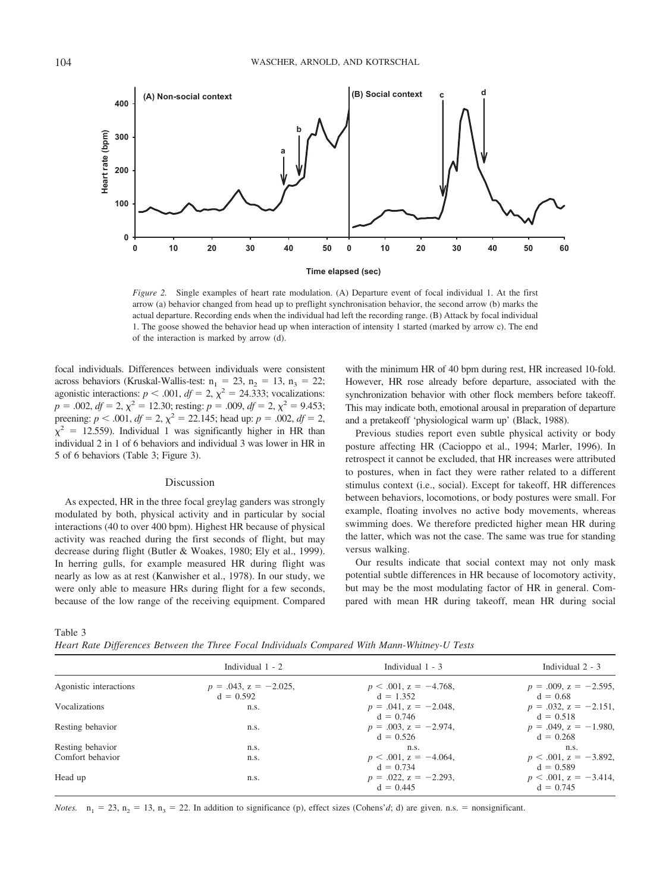

*Figure 2.* Single examples of heart rate modulation. (A) Departure event of focal individual 1. At the first arrow (a) behavior changed from head up to preflight synchronisation behavior, the second arrow (b) marks the actual departure. Recording ends when the individual had left the recording range. (B) Attack by focal individual 1. The goose showed the behavior head up when interaction of intensity 1 started (marked by arrow c). The end of the interaction is marked by arrow (d).

focal individuals. Differences between individuals were consistent across behaviors (Kruskal-Wallis-test:  $n_1 = 23$ ,  $n_2 = 13$ ,  $n_3 = 22$ ; agonistic interactions:  $p < .001$ ,  $df = 2$ ,  $\chi^2 = 24.333$ ; vocalizations:  $p = .002$ ,  $df = 2$ ,  $\chi^2 = 12.30$ ; resting:  $p = .009$ ,  $df = 2$ ,  $\chi^2 = 9.453$ ; preening:  $p < .001$ ,  $df = 2$ ,  $\chi^2 = 22.145$ ; head up:  $p = .002$ ,  $df = 2$ ,  $\chi^2$  = 12.559). Individual 1 was significantly higher in HR than individual 2 in 1 of 6 behaviors and individual 3 was lower in HR in 5 of 6 behaviors (Table 3; Figure 3).

## Discussion

As expected, HR in the three focal greylag ganders was strongly modulated by both, physical activity and in particular by social interactions (40 to over 400 bpm). Highest HR because of physical activity was reached during the first seconds of flight, but may decrease during flight (Butler & Woakes, 1980; Ely et al., 1999). In herring gulls, for example measured HR during flight was nearly as low as at rest (Kanwisher et al., 1978). In our study, we were only able to measure HRs during flight for a few seconds, because of the low range of the receiving equipment. Compared with the minimum HR of 40 bpm during rest, HR increased 10-fold. However, HR rose already before departure, associated with the synchronization behavior with other flock members before takeoff. This may indicate both, emotional arousal in preparation of departure and a pretakeoff 'physiological warm up' (Black, 1988).

Previous studies report even subtle physical activity or body posture affecting HR (Cacioppo et al., 1994; Marler, 1996). In retrospect it cannot be excluded, that HR increases were attributed to postures, when in fact they were rather related to a different stimulus context (i.e., social). Except for takeoff, HR differences between behaviors, locomotions, or body postures were small. For example, floating involves no active body movements, whereas swimming does. We therefore predicted higher mean HR during the latter, which was not the case. The same was true for standing versus walking.

Our results indicate that social context may not only mask potential subtle differences in HR because of locomotory activity, but may be the most modulating factor of HR in general. Compared with mean HR during takeoff, mean HR during social

Table 3

*Heart Rate Differences Between the Three Focal Individuals Compared With Mann-Whitney-U Tests*

| Individual $1 - 2$                         |                                            |                                            |
|--------------------------------------------|--------------------------------------------|--------------------------------------------|
|                                            | Individual $1 - 3$                         | Individual $2 - 3$                         |
| $p = .043$ , $z = -2.025$ ,<br>$d = 0.592$ | $p < .001$ , $z = -4.768$ ,<br>$d = 1.352$ | $p = .009$ , $z = -2.595$ ,<br>$d = 0.68$  |
| n.s.                                       | $p = .041$ , $z = -2.048$ ,<br>$d = 0.746$ | $p = .032$ , $z = -2.151$ ,<br>$d = 0.518$ |
| n.s.                                       | $p = .003$ , $z = -2.974$ .<br>$d = 0.526$ | $p = .049$ , $z = -1.980$ ,<br>$d = 0.268$ |
| n.s.                                       | n.s.                                       | n.s.                                       |
| n.s.                                       | $p < .001$ , $z = -4.064$ ,<br>$d = 0.734$ | $p < .001$ , $z = -3.892$ ,<br>$d = 0.589$ |
| n.s.                                       | $p = .022$ , $z = -2.293$ ,<br>$d = 0.445$ | $p < .001$ , $z = -3.414$ ,<br>$d = 0.745$ |
|                                            |                                            |                                            |

*Notes.*  $n_1 = 23$ ,  $n_2 = 13$ ,  $n_3 = 22$ . In addition to significance (p), effect sizes (Cohens'*d*; d) are given. n.s. = nonsignificant.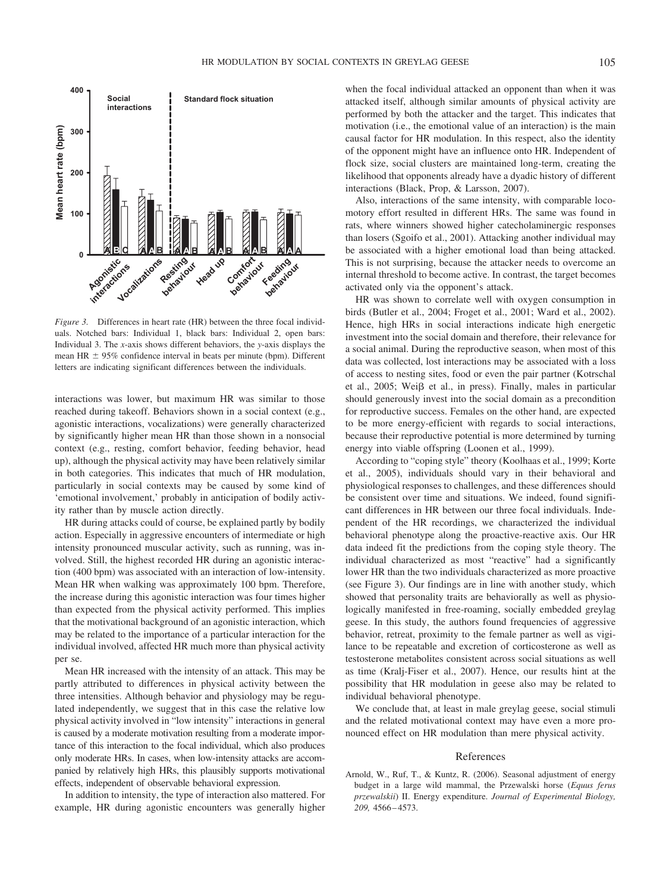

*Figure 3.* Differences in heart rate (HR) between the three focal individuals. Notched bars: Individual 1, black bars: Individual 2, open bars: Individual 3. The *x*-axis shows different behaviors, the *y*-axis displays the mean HR  $\pm$  95% confidence interval in beats per minute (bpm). Different letters are indicating significant differences between the individuals.

interactions was lower, but maximum HR was similar to those reached during takeoff. Behaviors shown in a social context (e.g., agonistic interactions, vocalizations) were generally characterized by significantly higher mean HR than those shown in a nonsocial context (e.g., resting, comfort behavior, feeding behavior, head up), although the physical activity may have been relatively similar in both categories. This indicates that much of HR modulation, particularly in social contexts may be caused by some kind of 'emotional involvement,' probably in anticipation of bodily activity rather than by muscle action directly.

HR during attacks could of course, be explained partly by bodily action. Especially in aggressive encounters of intermediate or high intensity pronounced muscular activity, such as running, was involved. Still, the highest recorded HR during an agonistic interaction (400 bpm) was associated with an interaction of low-intensity. Mean HR when walking was approximately 100 bpm. Therefore, the increase during this agonistic interaction was four times higher than expected from the physical activity performed. This implies that the motivational background of an agonistic interaction, which may be related to the importance of a particular interaction for the individual involved, affected HR much more than physical activity per se.

Mean HR increased with the intensity of an attack. This may be partly attributed to differences in physical activity between the three intensities. Although behavior and physiology may be regulated independently, we suggest that in this case the relative low physical activity involved in "low intensity" interactions in general is caused by a moderate motivation resulting from a moderate importance of this interaction to the focal individual, which also produces only moderate HRs. In cases, when low-intensity attacks are accompanied by relatively high HRs, this plausibly supports motivational effects, independent of observable behavioral expression.

In addition to intensity, the type of interaction also mattered. For example, HR during agonistic encounters was generally higher when the focal individual attacked an opponent than when it was attacked itself, although similar amounts of physical activity are performed by both the attacker and the target. This indicates that motivation (i.e., the emotional value of an interaction) is the main causal factor for HR modulation. In this respect, also the identity of the opponent might have an influence onto HR. Independent of flock size, social clusters are maintained long-term, creating the likelihood that opponents already have a dyadic history of different interactions (Black, Prop, & Larsson, 2007).

Also, interactions of the same intensity, with comparable locomotory effort resulted in different HRs. The same was found in rats, where winners showed higher catecholaminergic responses than losers (Sgoifo et al., 2001). Attacking another individual may be associated with a higher emotional load than being attacked. This is not surprising, because the attacker needs to overcome an internal threshold to become active. In contrast, the target becomes activated only via the opponent's attack.

HR was shown to correlate well with oxygen consumption in birds (Butler et al., 2004; Froget et al., 2001; Ward et al., 2002). Hence, high HRs in social interactions indicate high energetic investment into the social domain and therefore, their relevance for a social animal. During the reproductive season, when most of this data was collected, lost interactions may be associated with a loss of access to nesting sites, food or even the pair partner (Kotrschal et al., 2005; Weiß et al., in press). Finally, males in particular should generously invest into the social domain as a precondition for reproductive success. Females on the other hand, are expected to be more energy-efficient with regards to social interactions, because their reproductive potential is more determined by turning energy into viable offspring (Loonen et al., 1999).

According to "coping style" theory (Koolhaas et al., 1999; Korte et al., 2005), individuals should vary in their behavioral and physiological responses to challenges, and these differences should be consistent over time and situations. We indeed, found significant differences in HR between our three focal individuals. Independent of the HR recordings, we characterized the individual behavioral phenotype along the proactive-reactive axis. Our HR data indeed fit the predictions from the coping style theory. The individual characterized as most "reactive" had a significantly lower HR than the two individuals characterized as more proactive (see Figure 3). Our findings are in line with another study, which showed that personality traits are behaviorally as well as physiologically manifested in free-roaming, socially embedded greylag geese. In this study, the authors found frequencies of aggressive behavior, retreat, proximity to the female partner as well as vigilance to be repeatable and excretion of corticosterone as well as testosterone metabolites consistent across social situations as well as time (Kralj-Fiser et al., 2007). Hence, our results hint at the possibility that HR modulation in geese also may be related to individual behavioral phenotype.

We conclude that, at least in male greylag geese, social stimuli and the related motivational context may have even a more pronounced effect on HR modulation than mere physical activity.

#### References

Arnold, W., Ruf, T., & Kuntz, R. (2006). Seasonal adjustment of energy budget in a large wild mammal, the Przewalski horse (*Equus ferus przewalskii*) II. Energy expenditure. *Journal of Experimental Biology, 209,* 4566 – 4573.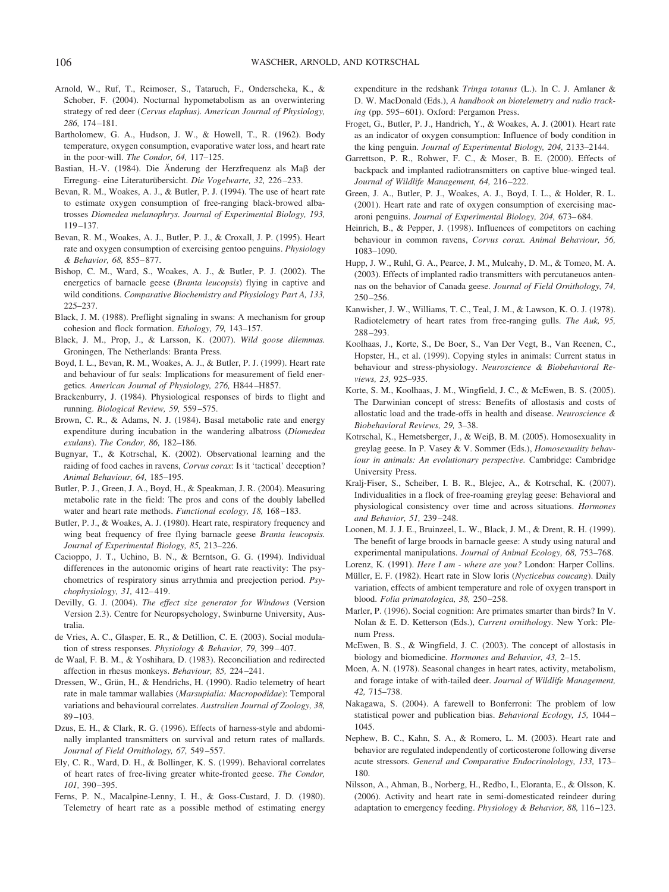- Arnold, W., Ruf, T., Reimoser, S., Tataruch, F., Onderscheka, K., & Schober, F. (2004). Nocturnal hypometabolism as an overwintering strategy of red deer (*Cervus elaphus). American Journal of Physiology, 286,* 174 –181.
- Bartholomew, G. A., Hudson, J. W., & Howell, T., R. (1962). Body temperature, oxygen consumption, evaporative water loss, and heart rate in the poor-will. *The Condor, 64,* 117–125.
- Bastian, H.-V. (1984). Die Änderung der Herzfrequenz als Maß der Erregung- eine Literaturübersicht. Die Vogelwarte, 32, 226-233.
- Bevan, R. M., Woakes, A. J., & Butler, P. J. (1994). The use of heart rate to estimate oxygen consumption of free-ranging black-browed albatrosses *Diomedea melanophrys. Journal of Experimental Biology, 193,* 119 –137.
- Bevan, R. M., Woakes, A. J., Butler, P. J., & Croxall, J. P. (1995). Heart rate and oxygen consumption of exercising gentoo penguins. *Physiology & Behavior, 68,* 855– 877.
- Bishop, C. M., Ward, S., Woakes, A. J., & Butler, P. J. (2002). The energetics of barnacle geese (*Branta leucopsis*) flying in captive and wild conditions. *Comparative Biochemistry and Physiology Part A, 133,* 225–237.
- Black, J. M. (1988). Preflight signaling in swans: A mechanism for group cohesion and flock formation. *Ethology, 79,* 143–157.
- Black, J. M., Prop, J., & Larsson, K. (2007). *Wild goose dilemmas.* Groningen, The Netherlands: Branta Press.
- Boyd, I. L., Bevan, R. M., Woakes, A. J., & Butler, P. J. (1999). Heart rate and behaviour of fur seals: Implications for measurement of field energetics. *American Journal of Physiology, 276,* H844 –H857.
- Brackenburry, J. (1984). Physiological responses of birds to flight and running. *Biological Review, 59,* 559 –575.
- Brown, C. R., & Adams, N. J. (1984). Basal metabolic rate and energy expenditure during incubation in the wandering albatross (*Diomedea exulans*). *The Condor, 86,* 182–186.
- Bugnyar, T., & Kotrschal, K. (2002). Observational learning and the raiding of food caches in ravens, *Corvus corax*: Is it 'tactical' deception? *Animal Behaviour, 64,* 185–195.
- Butler, P. J., Green, J. A., Boyd, H., & Speakman, J. R. (2004). Measuring metabolic rate in the field: The pros and cons of the doubly labelled water and heart rate methods. *Functional ecology*, 18, 168-183.
- Butler, P. J., & Woakes, A. J. (1980). Heart rate, respiratory frequency and wing beat frequency of free flying barnacle geese *Branta leucopsis. Journal of Experimental Biology, 85,* 213–226.
- Cacioppo, J. T., Uchino, B. N., & Berntson, G. G. (1994). Individual differences in the autonomic origins of heart rate reactivity: The psychometrics of respiratory sinus arrythmia and preejection period. *Psychophysiology, 31,* 412– 419.
- Devilly, G. J. (2004). *The effect size generator for Windows* (Version Version 2.3). Centre for Neuropsychology, Swinburne University, Australia.
- de Vries, A. C., Glasper, E. R., & Detillion, C. E. (2003). Social modulation of stress responses. *Physiology & Behavior*, 79, 399-407.
- de Waal, F. B. M., & Yoshihara, D. (1983). Reconciliation and redirected affection in rhesus monkeys. *Behaviour, 85,* 224 –241.
- Dressen, W., Grün, H., & Hendrichs, H. (1990). Radio telemetry of heart rate in male tammar wallabies (*Marsupialia: Macropodidae*): Temporal variations and behavioural correlates. *Australien Journal of Zoology, 38,* 89 –103.
- Dzus, E. H., & Clark, R. G. (1996). Effects of harness-style and abdominally implanted transmitters on survival and return rates of mallards. *Journal of Field Ornithology, 67,* 549 –557.
- Ely, C. R., Ward, D. H., & Bollinger, K. S. (1999). Behavioral correlates of heart rates of free-living greater white-fronted geese. *The Condor, 101,* 390 –395.
- Ferns, P. N., Macalpine-Lenny, I. H., & Goss-Custard, J. D. (1980). Telemetry of heart rate as a possible method of estimating energy

expenditure in the redshank *Tringa totanus* (L.). In C. J. Amlaner & D. W. MacDonald (Eds.), *A handbook on biotelemetry and radio track*ing (pp. 595–601). Oxford: Pergamon Press.

- Froget, G., Butler, P. J., Handrich, Y., & Woakes, A. J. (2001). Heart rate as an indicator of oxygen consumption: Influence of body condition in the king penguin. *Journal of Experimental Biology, 204,* 2133–2144.
- Garrettson, P. R., Rohwer, F. C., & Moser, B. E. (2000). Effects of backpack and implanted radiotransmitters on captive blue-winged teal. *Journal of Wildlife Management, 64,* 216 –222.
- Green, J. A., Butler, P. J., Woakes, A. J., Boyd, I. L., & Holder, R. L. (2001). Heart rate and rate of oxygen consumption of exercising macaroni penguins. *Journal of Experimental Biology, 204,* 673– 684.
- Heinrich, B., & Pepper, J. (1998). Influences of competitors on caching behaviour in common ravens, *Corvus corax. Animal Behaviour, 56,* 1083–1090.
- Hupp, J. W., Ruhl, G. A., Pearce, J. M., Mulcahy, D. M., & Tomeo, M. A. (2003). Effects of implanted radio transmitters with percutaneuos antennas on the behavior of Canada geese. *Journal of Field Ornithology, 74,* 250 –256.
- Kanwisher, J. W., Williams, T. C., Teal, J. M., & Lawson, K. O. J. (1978). Radiotelemetry of heart rates from free-ranging gulls. *The Auk, 95,* 288 –293.
- Koolhaas, J., Korte, S., De Boer, S., Van Der Vegt, B., Van Reenen, C., Hopster, H., et al. (1999). Copying styles in animals: Current status in behaviour and stress-physiology. *Neuroscience & Biobehavioral Reviews, 23,* 925–935.
- Korte, S. M., Koolhaas, J. M., Wingfield, J. C., & McEwen, B. S. (2005). The Darwinian concept of stress: Benefits of allostasis and costs of allostatic load and the trade-offs in health and disease. *Neuroscience & Biobehavioral Reviews, 29,* 3–38.
- Kotrschal, K., Hemetsberger, J., & Weiß, B. M. (2005). Homosexuality in greylag geese. In P. Vasey & V. Sommer (Eds.), *Homosexuality behaviour in animals: An evolutionary perspective.* Cambridge: Cambridge University Press.
- Kralj-Fiser, S., Scheiber, I. B. R., Blejec, A., & Kotrschal, K. (2007). Individualities in a flock of free-roaming greylag geese: Behavioral and physiological consistency over time and across situations. *Hormones and Behavior, 51,* 239 –248.
- Loonen, M. J. J. E., Bruinzeel, L. W., Black, J. M., & Drent, R. H. (1999). The benefit of large broods in barnacle geese: A study using natural and experimental manipulations. *Journal of Animal Ecology, 68,* 753–768.
- Lorenz, K. (1991). *Here I am where are you?* London: Harper Collins.
- Müller, E. F. (1982). Heart rate in Slow loris (*Nycticebus coucang*). Daily variation, effects of ambient temperature and role of oxygen transport in blood. *Folia primatologica, 38,* 250 –258.
- Marler, P. (1996). Social cognition: Are primates smarter than birds? In V. Nolan & E. D. Ketterson (Eds.), *Current ornithology.* New York: Plenum Press.
- McEwen, B. S., & Wingfield, J. C. (2003). The concept of allostasis in biology and biomedicine. *Hormones and Behavior, 43,* 2–15.
- Moen, A. N. (1978). Seasonal changes in heart rates, activity, metabolism, and forage intake of with-tailed deer. *Journal of Wildlife Management, 42,* 715–738.
- Nakagawa, S. (2004). A farewell to Bonferroni: The problem of low statistical power and publication bias. *Behavioral Ecology, 15,* 1044 – 1045.
- Nephew, B. C., Kahn, S. A., & Romero, L. M. (2003). Heart rate and behavior are regulated independently of corticosterone following diverse acute stressors. *General and Comparative Endocrinolology, 133,* 173– 180.
- Nilsson, A., Ahman, B., Norberg, H., Redbo, I., Eloranta, E., & Olsson, K. (2006). Activity and heart rate in semi-domesticated reindeer during adaptation to emergency feeding. *Physiology & Behavior, 88,* 116 –123.